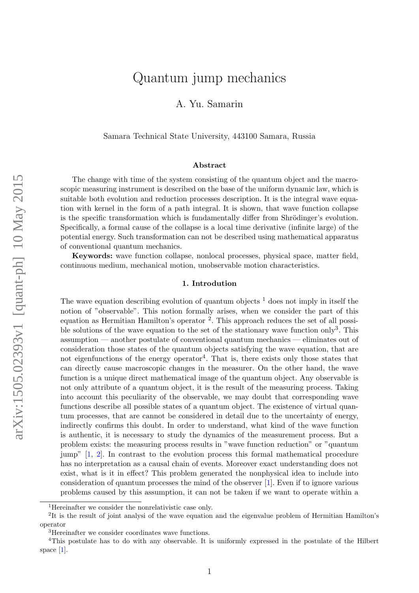# Quantum jump mechanics

A. Yu. Samarin

Samara Technical State University, 443100 Samara, Russia

#### Abstract

The change with time of the system consisting of the quantum object and the macroscopic measuring instrument is described on the base of the uniform dynamic law, which is suitable both evolution and reduction processes description. It is the integral wave equation with kernel in the form of a path integral. It is shown, that wave function collapse is the specific transformation which is fundamentally differ from Shrödinger's evolution. Specifically, a formal cause of the collapse is a local time derivative (infinite large) of the potential energy. Such transformation can not be described using mathematical apparatus of conventional quantum mechanics.

Keywords: wave function collapse, nonlocal processes, physical space, matter field, continuous medium, mechanical motion, unobservable motion characteristics.

#### 1. Introdution

The wave equation describing evolution of quantum objects  $<sup>1</sup>$  $<sup>1</sup>$  $<sup>1</sup>$  does not imply in itself the</sup> notion of "observable". This notion formally arises, when we consider the part of this equation as Hermitian Hamilton's operator<sup>[2](#page-0-1)</sup>. This approach reduces the set of all possi-ble solutions of the wave equation to the set of the stationary wave function only<sup>[3](#page-0-2)</sup>. This assumption — another postulate of conventional quantum mechanics — eliminates out of consideration those states of the quantum objects satisfying the wave equation, that are not eigenfunctions of the energy operator<sup>[4](#page-0-3)</sup>. That is, there exists only those states that can directly cause macroscopic changes in the measurer. On the other hand, the wave function is a unique direct mathematical image of the quantum object. Any observable is not only attribute of a quantum object, it is the result of the measuring process. Taking into account this peculiarity of the observable, we may doubt that corresponding wave functions describe all possible states of a quantum object. The existence of virtual quantum processes, that are cannot be considered in detail due to the uncertainty of energy, indirectly confirms this doubt. In order to understand, what kind of the wave function is authentic, it is necessary to study the dynamics of the measurement process. But a problem exists: the measuring process results in "wave function reduction" or "quantum jump" [\[1,](#page-8-0) [2\]](#page-8-1). In contrast to the evolution process this formal mathematical procedure has no interpretation as a causal chain of events. Moreover exact understanding does not exist, what is it in effect? This problem generated the nonphysical idea to include into consideration of quantum processes the mind of the observer [\[1\]](#page-8-0). Even if to ignore various problems caused by this assumption, it can not be taken if we want to operate within a

<span id="page-0-1"></span><span id="page-0-0"></span><sup>1</sup>Hereinafter we consider the nonrelativistic case only.

<sup>&</sup>lt;sup>2</sup>It is the result of joint analysi of the wave equation and the eigenvalue problem of Hermitian Hamilton's operator

<span id="page-0-3"></span><span id="page-0-2"></span><sup>3</sup>Hereinafter we consider coordinates wave functions.

<sup>4</sup>This postulate has to do with any observable. It is uniformly expressed in the postulate of the Hilbert space [\[1\]](#page-8-0).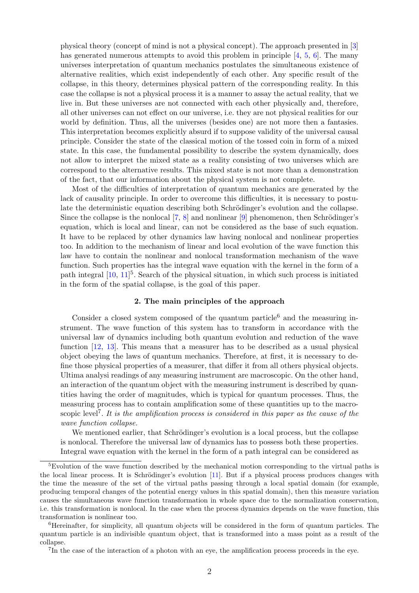physical theory (concept of mind is not a physical concept). The approach presented in [\[3\]](#page-8-2) has generated numerous attempts to avoid this problem in principle [\[4,](#page-8-3) [5,](#page-9-0) [6\]](#page-9-1). The many universes interpretation of quantum mechanics postulates the simultaneous existence of alternative realities, which exist independently of each other. Any specific result of the collapse, in this theory, determines physical pattern of the corresponding reality. In this case the collapse is not a physical process it is a manner to assay the actual reality, that we live in. But these universes are not connected with each other physically and, therefore, all other universes can not effect on our universe, i.e. they are not physical realities for our world by definition. Thus, all the universes (besides one) are not more then a fantasies. This interpretation becomes explicitly absurd if to suppose validity of the universal causal principle. Consider the state of the classical motion of the tossed coin in form of a mixed state. In this case, the fundamental possibility to describe the system dynamically, does not allow to interpret the mixed state as a reality consisting of two universes which are correspond to the alternative results. This mixed state is not more than a demonstration of the fact, that our information about the physical system is not complete.

Most of the difficulties of interpretation of quantum mechanics are generated by the lack of causality principle. In order to overcome this difficulties, it is necessary to postulate the deterministic equation describing both Schrödinger's evolution and the collapse. Since the collapse is the nonlocal  $[7, 8]$  $[7, 8]$  and nonlinear  $[9]$  phenomenon, then Schrödinger's equation, which is local and linear, can not be considered as the base of such equation. It have to be replaced by other dynamics law having nonlocal and nonlinear properties too. In addition to the mechanism of linear and local evolution of the wave function this law have to contain the nonlinear and nonlocal transformation mechanism of the wave function. Such properties has the integral wave equation with the kernel in the form of a path integral  $[10, 11]$  $[10, 11]$ <sup>[5](#page-1-0)</sup>. Search of the physical situation, in which such process is initiated in the form of the spatial collapse, is the goal of this paper.

#### 2. The main principles of the approach

Consider a closed system composed of the quantum particle<sup>[6](#page-1-1)</sup> and the measuring instrument. The wave function of this system has to transform in accordance with the universal law of dynamics including both quantum evolution and reduction of the wave function [\[12,](#page-9-7) [13\]](#page-9-8). This means that a measurer has to be described as a usual physical object obeying the laws of quantum mechanics. Therefore, at first, it is necessary to define those physical properties of a measurer, that differ it from all others physical objects. Ultima analysi readings of any measuring instrument are macroscopic. On the other hand, an interaction of the quantum object with the measuring instrument is described by quantities having the order of magnitudes, which is typical for quantum processes. Thus, the measuring process has to contain amplification some of these quantities up to the macro-scopic level<sup>[7](#page-1-2)</sup>. It is the amplification process is considered in this paper as the cause of the wave function collapse.

We mentioned earlier, that Schrödinger's evolution is a local process, but the collapse is nonlocal. Therefore the universal law of dynamics has to possess both these properties. Integral wave equation with the kernel in the form of a path integral can be considered as

<span id="page-1-0"></span><sup>&</sup>lt;sup>5</sup>Evolution of the wave function described by the mechanical motion corresponding to the virtual paths is the local linear process. It is Schrödinger's evolution  $[11]$ . But if a physical process produces changes with the time the measure of the set of the virtual paths passing through a local spatial domain (for example, producing temporal changes of the potential energy values in this spatial domain), then this measure variation causes the simultaneous wave function transformation in whole space due to the normalization conservation, i.e. this transformation is nonlocal. In the case when the process dynamics depends on the wave function, this transformation is nonlinear too.

<span id="page-1-1"></span><sup>&</sup>lt;sup>6</sup>Hereinafter, for simplicity, all quantum objects will be considered in the form of quantum particles. The quantum particle is an indivisible quantum object, that is transformed into a mass point as a result of the collapse.

<span id="page-1-2"></span><sup>&</sup>lt;sup>7</sup>In the case of the interaction of a photon with an eye, the amplification process proceeds in the eye.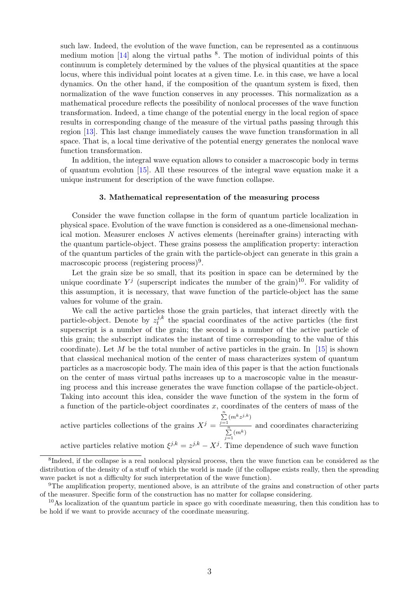such law. Indeed, the evolution of the wave function, can be represented as a continuous medium motion [\[14\]](#page-9-9) along the virtual paths <sup>[8](#page-2-0)</sup>. The motion of individual points of this continuum is completely determined by the values of the physical quantities at the space locus, where this individual point locates at a given time. I.e. in this case, we have a local dynamics. On the other hand, if the composition of the quantum system is fixed, then normalization of the wave function conserves in any processes. This normalization as a mathematical procedure reflects the possibility of nonlocal processes of the wave function transformation. Indeed, a time change of the potential energy in the local region of space results in corresponding change of the measure of the virtual paths passing through this region [\[13\]](#page-9-8). This last change immediately causes the wave function transformation in all space. That is, a local time derivative of the potential energy generates the nonlocal wave function transformation.

In addition, the integral wave equation allows to consider a macroscopic body in terms of quantum evolution [\[15\]](#page-9-10). All these resources of the integral wave equation make it a unique instrument for description of the wave function collapse.

#### 3. Mathematical representation of the measuring process

Consider the wave function collapse in the form of quantum particle localization in physical space. Evolution of the wave function is considered as a one-dimensional mechanical motion. Measurer encloses  $N$  actives elements (hereinafter grains) interacting with the quantum particle-object. These grains possess the amplification property: interaction of the quantum particles of the grain with the particle-object can generate in this grain a macroscopic process (registering process)<sup>[9](#page-2-1)</sup>.

Let the grain size be so small, that its position in space can be determined by the unique coordinate  $Y^j$  (superscript indicates the number of the grain)<sup>[10](#page-2-2)</sup>. For validity of this assumption, it is necessary, that wave function of the particle-object has the same values for volume of the grain.

We call the active particles those the grain particles, that interact directly with the particle-object. Denote by  $z_t^{j,k}$  $t_t^{j,k}$  the spacial coordinates of the active particles (the first superscript is a number of the grain; the second is a number of the active particle of this grain; the subscript indicates the instant of time corresponding to the value of this coordinate). Let M be the total number of active particles in the grain. In  $[15]$  is shown that classical mechanical motion of the center of mass characterizes system of quantum particles as a macroscopic body. The main idea of this paper is that the action functionals on the center of mass virtual paths increases up to a macroscopic value in the measuring process and this increase generates the wave function collapse of the particle-object. Taking into account this idea, consider the wave function of the system in the form of a function of the particle-object coordinates  $x$ , coordinates of the centers of mass of the

active particles collections of the grains  $X^j =$  $\sum_{j=1}^n (m^k z^{j,k})$  $\sum_{j=1}^n (m^k)$ and coordinates characterizing

active particles relative motion  $\xi^{j,k} = z^{j,k} - X^j$ . Time dependence of such wave function

<span id="page-2-0"></span><sup>&</sup>lt;sup>8</sup>Indeed, if the collapse is a real nonlocal physical process, then the wave function can be considered as the distribution of the density of a stuff of which the world is made (if the collapse exists really, then the spreading wave packet is not a difficulty for such interpretation of the wave function).

<span id="page-2-1"></span><sup>9</sup>The amplification property, mentioned above, is an attribute of the grains and construction of other parts of the measurer. Specific form of the construction has no matter for collapse considering.

<span id="page-2-2"></span> $10\text{As}$  localization of the quantum particle in space go with coordinate measuring, then this condition has to be hold if we want to provide accuracy of the coordinate measuring.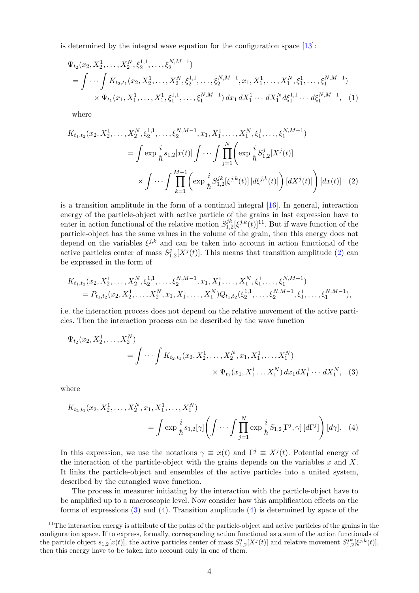is determined by the integral wave equation for the configuration space [\[13\]](#page-9-8):

$$
\Psi_{t_2}(x_2, X_2^1, \dots, X_2^N, \xi_2^{1,1}, \dots, \xi_2^{N,M-1})
$$
\n
$$
= \int \cdots \int K_{t_2, t_1}(x_2, X_2^1, \dots, X_2^N, \xi_2^{1,1}, \dots, \xi_2^{N,M-1}, x_1, X_1^1, \dots, X_1^N, \xi_1^1, \dots, \xi_1^{N,M-1})
$$
\n
$$
\times \Psi_{t_1}(x_1, X_1^1, \dots, X_1^1, \xi_1^{1,1}, \dots, \xi_1^{N,M-1}) dx_1 dX_1^1 \cdots dX_1^N d\xi_1^{1,1} \cdots d\xi_1^{N,M-1}, \quad (1)
$$

<span id="page-3-1"></span>where

$$
K_{t_1,t_2}(x_2, X_2^1, \dots, X_2^N, \xi_2^{1,1}, \dots, \xi_2^{N,M-1}, x_1, X_1^1, \dots, X_1^N, \xi_1^1, \dots, \xi_1^{N,M-1})
$$
  
= 
$$
\int \exp\frac{i}{\hbar} s_{1,2}[x(t)] \int \cdots \int \prod_{j=1}^N \left( \exp\frac{i}{\hbar} S_{1,2}^j[X^j(t)] \right)
$$

$$
\times \int \cdots \int \prod_{k=1}^{M-1} \left( \exp\frac{i}{\hbar} S_{1,2}^{jk}[\xi^{j,k}(t)] \left[ d\xi^{j,k}(t) \right] \right) \left[ dX^j(t) \right] \right) \left[ dx(t) \right] \tag{2}
$$

is a transition amplitude in the form of a continual integral [\[16\]](#page-9-11). In general, interaction energy of the particle-object with active particle of the grains in last expression have to enter in action functional of the relative motion  $S_{1,2}^{jk}$  $\int_{1,2}^{jk}[\xi^{j,k}(t)]^{11}$  $\int_{1,2}^{jk}[\xi^{j,k}(t)]^{11}$  $\int_{1,2}^{jk}[\xi^{j,k}(t)]^{11}$ . But if wave function of the particle-object has the same values in the volume of the grain, then this energy does not depend on the variables  $\xi^{j,k}$  and can be taken into account in action functional of the active particles center of mass  $S_1^j$  $\frac{d}{dt} \left[ X^j(t) \right]$ . This means that transition amplitude [\(2\)](#page-3-1) can be expressed in the form of

$$
K_{t_1,t_2}(x_2, X_2^1, \ldots, X_2^N, \xi_2^{1,1}, \ldots, \xi_2^{N,M-1}, x_1, X_1^1, \ldots, X_1^N, \xi_1^1, \ldots, \xi_1^{N,M-1})
$$
  
=  $P_{t_1,t_2}(x_2, X_2^1, \ldots, X_2^N, x_1, X_1^1, \ldots, X_1^N) Q_{t_1,t_2}(\xi_2^{1,1}, \ldots, \xi_2^{N,M-1}, \xi_1^1, \ldots, \xi_1^{N,M-1}),$ 

i.e. the interaction process does not depend on the relative movement of the active particles. Then the interaction process can be described by the wave function

<span id="page-3-2"></span>
$$
\Psi_{t_2}(x_2, X_2^1, \dots, X_2^N) = \int \cdots \int K_{t_2, t_1}(x_2, X_2^1, \dots, X_2^N, x_1, X_1^1, \dots, X_1^N) \times \Psi_{t_1}(x_1, X_1^1 \dots X_1^N) dx_1 dX_1^1 \cdots dX_1^N,
$$
 (3)

where

<span id="page-3-3"></span>
$$
K_{t_2,t_1}(x_2, X_2^1, \dots, X_2^N, x_1, X_1^1, \dots, X_1^N) = \int \exp \frac{i}{\hbar} s_{1,2}[\gamma] \left( \int \cdots \int \prod_{j=1}^N \exp \frac{i}{\hbar} S_{1,2}[\Gamma^j, \gamma] \left[ d\Gamma^j \right] \right) [d\gamma]. \tag{4}
$$

In this expression, we use the notations  $\gamma \equiv x(t)$  and  $\Gamma^j \equiv X^j(t)$ . Potential energy of the interaction of the particle-object with the grains depends on the variables  $x$  and  $X$ . It links the particle-object and ensembles of the active particles into a united system, described by the entangled wave function.

The process in measurer initiating by the interaction with the particle-object have to be amplified up to a macroscopic level. Now consider haw this amplification effects on the forms of expressions  $(3)$  and  $(4)$ . Transition amplitude  $(4)$  is determined by space of the

<span id="page-3-0"></span> $11$ The interaction energy is attribute of the paths of the particle-object and active particles of the grains in the configuration space. If to express, formally, corresponding action functional as a sum of the action functionals of the particle object  $s_{1,2}[x(t)]$ , the active particles center of mass  $S_{1,2}^j[X^j(t)]$  and relative movement  $S_{1,2}^{jk}[\xi^{j,k}(t)]$ , then this energy have to be taken into account only in one of them.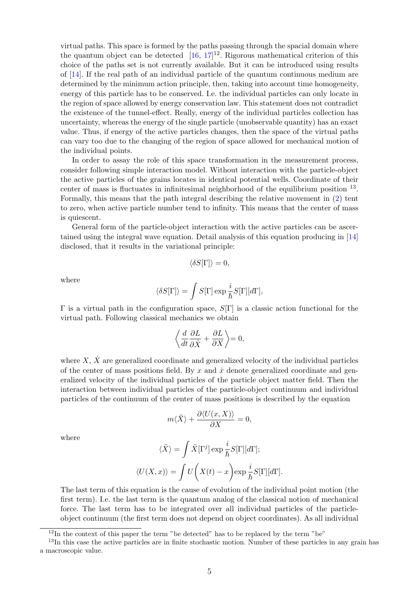virtual paths. This space is formed by the paths passing through the spacial domain where the quantum object can be detected  $[16, 17]^{12}$  $[16, 17]^{12}$  $[16, 17]^{12}$  $[16, 17]^{12}$  $[16, 17]^{12}$ . Rigorous mathematical criterion of this choice of the paths set is not currently available. But it can be introduced using results of [\[14\]](#page-9-9). If the real path of an individual particle of the quantum continuous medium are determined by the minimum action principle, then, taking into account time homogeneity, energy of this particle has to be conserved. I.e. the individual particles can only locate in the region of space allowed by energy conservation law. This statement does not contradict the existence of the tunnel-effect. Really, energy of the individual particles collection has uncertainty, whereas the energy of the single particle (unobservable quantity) has an exact value. Thus, if energy of the active particles changes, then the space of the virtual paths can vary too due to the changing of the region of space allowed for mechanical motion of the individual points.

In order to assay the role of this space transformation in the measurement process, consider following simple interaction model. Without interaction with the particle-object the active particles of the grains locates in identical potential wells. Coordinate of their center of mass is fluctuates in infinitesimal neighborhood of the equilibrium position <sup>[13](#page-4-1)</sup>. Formally, this means that the path integral describing the relative movement in [\(2\)](#page-3-1) tent to zero, when active particle number tend to infinity. This means that the center of mass is quiescent.

General form of the particle-object interaction with the active particles can be ascertained using the integral wave equation. Detail analysis of this equation producing in [\[14\]](#page-9-9) disclosed, that it results in the variational principle:

$$
\langle \delta S[\Gamma] \rangle = 0,
$$

where

$$
\langle \delta S[\Gamma] \rangle = \int S[\Gamma] \exp \frac{i}{\hbar} S[\Gamma][d\Gamma],
$$

Γ is a virtual path in the configuration space,  $S[\Gamma]$  is a classic action functional for the virtual path. Following classical mechanics we obtain

$$
\left\langle \frac{d}{dt} \frac{\partial L}{\partial \dot{X}} + \frac{\partial L}{\partial X} \right\rangle = 0,
$$

where  $X, \dot{X}$  are generalized coordinate and generalized velocity of the individual particles of the center of mass positions field. By  $x$  and  $\dot{x}$  denote generalized coordinate and generalized velocity of the individual particles of the particle object matter field. Then the interaction between individual particles of the particle-object continuum and individual particles of the continuum of the center of mass positions is described by the equation

$$
m\langle \ddot{X}\rangle + \frac{\partial \langle U(x,X)\rangle}{\partial X} = 0,
$$

where

$$
\langle \ddot{X} \rangle = \int \ddot{X} [\Gamma^j] \exp \frac{i}{\hbar} S[\Gamma][d\Gamma];
$$
  

$$
\langle U(X, x) \rangle = \int U\bigg(X(t) - x\bigg) \exp \frac{i}{\hbar} S[\Gamma][d\Gamma].
$$

The last term of this equation is the cause of evolution of the individual point motion (the first term). I.e. the last term is the quantum analog of the classical notion of mechanical force. The last term has to be integrated over all individual particles of the particleobject continuum (the first term does not depend on object coordinates). As all individual

<span id="page-4-1"></span><span id="page-4-0"></span> $12$ In the context of this paper the term "be detected" has to be replaced by the term "be"

<sup>&</sup>lt;sup>13</sup>In this case the active particles are in finite stochastic motion. Number of these particles in any grain has a macroscopic value.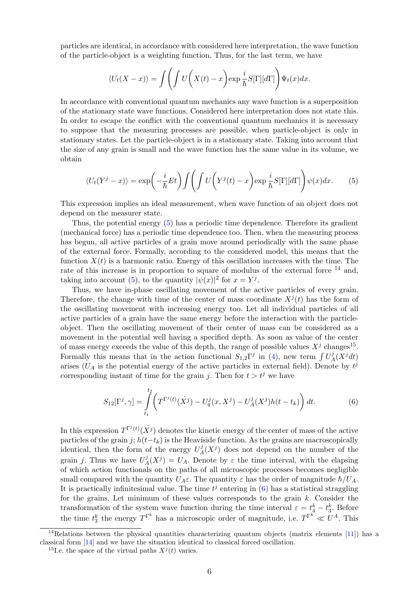particles are identical, in accordance with considered here interpretation, the wave function of the particle-object is a weighting function. Thus, for the last term, we have

$$
\langle U_t(X-x)\rangle = \int \left(\int U\bigg(X(t)-x\bigg)\exp\frac{i}{\hbar}S[\Gamma][d\Gamma]\bigg)\Psi_t(x)dx.
$$

In accordance with conventional quantum mechanics any wave function is a superposition of the stationary state wave functions. Considered here interpretation does not state this. In order to escape the conflict with the conventional quantum mechanics it is necessary to suppose that the measuring processes are possible, when particle-object is only in stationary states. Let the particle-object is in a stationary state. Taking into account that the size of any grain is small and the wave function has the same value in its volume, we obtain

<span id="page-5-0"></span>
$$
\langle U_t(Y^j - x) \rangle = \exp\left(-\frac{i}{\hbar}Et\right) \int \left(\int U\left(Y^j(t) - x\right) \exp\frac{i}{\hbar}S[\Gamma][d\Gamma]\right) \psi(x) dx. \tag{5}
$$

This expression implies an ideal measurement, when wave function of an object does not depend on the measurer state.

Thus, the potential energy [\(5\)](#page-5-0) has a periodic time dependence. Therefore its gradient (mechanical force) has a periodic time dependence too. Then, when the measuring process has begun, all active particles of a grain move around periodically with the same phase of the external force. Formally, according to the considered model, this means that the function  $X(t)$  is a harmonic ratio. Energy of this oscillation increases with the time. The rate of this increase is in proportion to square of modulus of the external force <sup>[14](#page-5-1)</sup> and. taking into account [\(5\)](#page-5-0), to the quantity  $|\psi(x)|^2$  for  $x = Y^j$ .

Thus, we have in-phase oscillating movement of the active particles of every grain. Therefore, the change with time of the center of mass coordinate  $X^{j}(t)$  has the form of the oscillating movement with increasing energy too. Let all individual particles of all active particles of a grain have the same energy before the interaction with the particleobject. Then the oscillating movement of their center of mass can be considered as a movement in the potential well having a specified depth. As soon as value of the center of mass energy exceeds the value of this depth, the range of possible values  $X^j$  changes<sup>[15](#page-5-2)</sup>. Formally this means that in the action functional  $S_{1,2}\Gamma^j$  in [\(4\)](#page-3-3), new term  $\int U_A^j$  $\frac{J_A(X^j dt)}{A}$ arises ( $U_A$  is the potential energy of the active particles in external field). Denote by  $t^j$ corresponding instant of time for the grain j. Then for  $t > t^j$  we have

<span id="page-5-3"></span>
$$
S_{12}[\Gamma^j, \gamma] = \int_{t_1}^{t_2} \left( T^{\Gamma^j(t)}(\dot{X}^j) - U_q^j(x, X^j) - U_A^j(X^j)h(t - t_k) \right) dt.
$$
 (6)

In this expression  $T^{\Gamma^j(t)}(\dot{X}^j)$  denotes the kinetic energy of the center of mass of the active particles of the grain j;  $h(t-t_k)$  is the Heaviside function. As the grains are macroscopically identical, then the form of the energy  $U^j_\ell$  $A^{j}(X^{j})$  does not depend on the number of the grain j. Thus we have  $U^j_{\n\ell}$  $A^{j}(X^{j}) = U_{A}$ . Denote by  $\varepsilon$  the time interval, with the elapsing of which action functionals on the paths of all microscopic processes becomes negligible small compared with the quantity  $U_A \varepsilon$ . The quantity  $\varepsilon$  has the order of magnitude  $\hbar/U_A$ . It is practically infinitesimal value. The time  $t^j$  entering in [\(6\)](#page-5-3) has a statistical straggling for the grains. Let minimum of these values corresponds to the grain  $k$ . Consider the transformation of the system wave function during the time interval  $\varepsilon = t_4^k - t_3^k$ . Before the time  $t_3^k$  the energy  $T^{\Gamma^k}$  has a microscopic order of magnitude, i.e.  $T^{\Gamma^k} \ll U^A$ . This

<span id="page-5-1"></span><sup>&</sup>lt;sup>14</sup>Relations between the physical quantities characterizing quantum objects (matrix elements [\[11\]](#page-9-6)) has a classical form [\[14\]](#page-9-9) and we have the situation identical to classical forced oscillation.

<span id="page-5-2"></span><sup>&</sup>lt;sup>15</sup>I.e. the space of the virtual paths  $X^{j}(t)$  varies.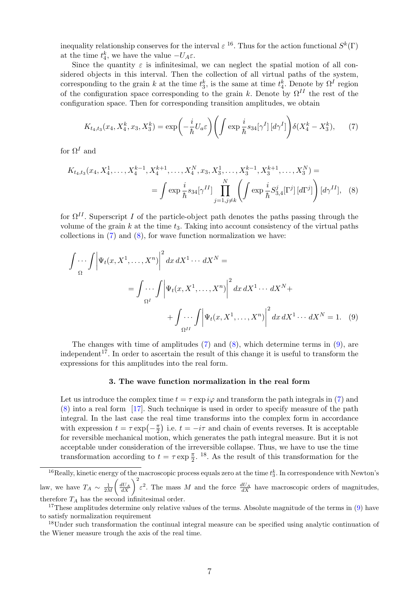inequality relationship conserves for the interval  $\varepsilon^{16}$  $\varepsilon^{16}$  $\varepsilon^{16}$ . Thus for the action functional  $S^k(\Gamma)$ at the time  $t_4^k$ , we have the value  $-U_A \varepsilon$ .

Since the quantity  $\varepsilon$  is infinitesimal, we can neglect the spatial motion of all considered objects in this interval. Then the collection of all virtual paths of the system, corresponding to the grain k at the time  $t_3^k$ , is the same at time  $t_4^k$ . Denote by  $\Omega^I$  region of the configuration space corresponding to the grain k. Denote by  $\Omega^{II}$  the rest of the configuration space. Then for corresponding transition amplitudes, we obtain

<span id="page-6-2"></span><span id="page-6-1"></span>
$$
K_{t_4,t_3}(x_4, X_4^k, x_3, X_3^k) = \exp\left(-\frac{i}{\hbar}U_a\varepsilon\right) \left(\int \exp\frac{i}{\hbar} s_{34}[\gamma^I] \left[d\gamma^I\right]\right) \delta(X_4^k - X_3^k),\tag{7}
$$

for  $\Omega^I$  and

$$
K_{t_4,t_3}(x_4, X_4^1, \dots, X_4^{k-1}, X_4^{k+1}, \dots, X_4^N, x_3, X_3^1, \dots, X_3^{k-1}, X_3^{k+1}, \dots, X_3^N) =
$$
  
= 
$$
\int \exp \frac{i}{\hbar} s_{34} [\gamma^{II}] \prod_{j=1, j \neq k}^N \left( \int \exp \frac{i}{\hbar} S_{3,4}^j [\Gamma^j] [d\Gamma^j] \right) [d\gamma^{II}], \quad (8)
$$

for  $\Omega^{II}$ . Superscript I of the particle-object path denotes the paths passing through the volume of the grain  $k$  at the time  $t_3$ . Taking into account consistency of the virtual paths collections in  $(7)$  and  $(8)$ , for wave function normalization we have:

$$
\int \cdots \int \left| \Psi_t(x, X^1, \dots, X^n) \right|^2 dx \, dX^1 \cdots \, dX^N =
$$
\n
$$
= \int \cdots \int \left| \Psi_t(x, X^1, \dots, X^n) \right|^2 dx \, dX^1 \cdots \, dX^N +
$$
\n
$$
+ \int \cdots \int \left| \Psi_t(x, X^1, \dots, X^n) \right|^2 dx \, dX^1 \cdots \, dX^N = 1. \tag{9}
$$

The changes with time of amplitudes [\(7\)](#page-6-1) and [\(8\)](#page-6-2), which determine terms in [\(9\)](#page-6-3), are independent<sup>[17](#page-6-4)</sup>. In order to ascertain the result of this change it is useful to transform the expressions for this amplitudes into the real form.

#### <span id="page-6-3"></span>3. The wave function normalization in the real form

Let us introduce the complex time  $t = \tau \exp i\varphi$  and transform the path integrals in [\(7\)](#page-6-1) and [\(8\)](#page-6-2) into a real form [\[17\]](#page-9-12). Such technique is used in order to specify measure of the path integral. In the last case the real time transforms into the complex form in accordance with expression  $t = \tau \exp(-\frac{\pi}{2})$  $\frac{\pi}{2}$ ) i.e.  $t = -i\tau$  and chain of events reverses. It is acceptable for reversible mechanical motion, which generates the path integral measure. But it is not acceptable under consideration of the irreversible collapse. Thus, we have to use the time transformation according to  $t = \tau \exp \frac{\pi}{2}$ . As the result of this transformation for the

<span id="page-6-0"></span><sup>&</sup>lt;sup>16</sup>Really, kinetic energy of the macroscopic process equals zero at the time  $t_3^k$ . In correspondence with Newton's law, we have  $T_A \sim \frac{1}{2M}$  $\left(\frac{dU_A}{dX}\right)^2 \varepsilon^2$ . The mass M and the force  $\frac{dU_A}{dX}$  have macroscopic orders of magnitudes, therefore  $T_A$  has the second infinitesimal order.

<span id="page-6-4"></span><sup>&</sup>lt;sup>17</sup>These amplitudes determine only relative values of the terms. Absolute magnitude of the terms in  $(9)$  have to satisfy normalization requirement

<span id="page-6-5"></span><sup>&</sup>lt;sup>18</sup>Under such transformation the continual integral measure can be specified using analytic continuation of the Wiener measure trough the axis of the real time.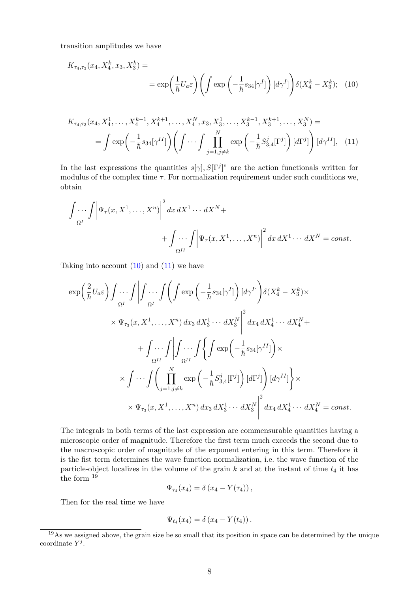transition amplitudes we have

<span id="page-7-0"></span>
$$
K_{\tau_4,\tau_3}(x_4, X_4^k, x_3, X_3^k) =
$$
  
= 
$$
\exp\left(\frac{1}{\hbar}U_a\varepsilon\right)\left(\int \exp\left(-\frac{1}{\hbar}s_{34}[\gamma^I]\right)[d\gamma^I]\right)\delta(X_4^k - X_3^k); \quad (10)
$$

<span id="page-7-1"></span>
$$
K_{\tau_4,\tau_3}(x_4, X_4^1, \dots, X_4^{k-1}, X_4^{k+1}, \dots, X_4^N, x_3, X_3^1, \dots, X_3^{k-1}, X_3^{k+1}, \dots, X_3^N) =
$$
  
= 
$$
\int \exp\left(-\frac{1}{\hbar} s_{34}[\gamma^{II}]\right) \left(\int \cdots \int \prod_{j=1, j \neq k}^N \exp\left(-\frac{1}{\hbar} S_{3,4}^j[\Gamma^j]\right) [d\Gamma^j]\right) [d\gamma^{II}], \quad (11)
$$

In the last expressions the quantities  $s[\gamma], S[\Gamma^j]^n$  are the action functionals written for modulus of the complex time  $\tau$ . For normalization requirement under such conditions we, obtain

$$
\int \cdots \int \left| \Psi_{\tau}(x, X^1, \dots, X^n) \right|^2 dx \, dX^1 \cdots dX^N +
$$
  
+ 
$$
\int \cdots \int \left| \Psi_{\tau}(x, X^1, \dots, X^n) \right|^2 dx \, dX^1 \cdots dX^N = const.
$$

Taking into account  $(10)$  and  $(11)$  we have

$$
\exp\left(\frac{2}{\hbar}U_{a}\varepsilon\right)\int\cdots\int\left|\int\cdots\int\left(\int\exp\left(-\frac{1}{\hbar}s_{34}[\gamma^{I}]\right)[d\gamma^{I}]\right)\delta(X_{4}^{k}-X_{3}^{k})\times \times\Psi_{\tau_{3}}(x,X^{1},\ldots,X^{n})dx_{3}dX_{3}^{1}\cdots dX_{3}^{N}\Big|^{2}dx_{4}dX_{4}^{1}\cdots dX_{4}^{N}+ + \int\cdots\int\left|\int\cdots\int\left\{\int\exp\left(-\frac{1}{\hbar}s_{34}[\gamma^{II}]\right)\times \times\int\cdots\int\left(\prod_{j=1,j\neq k}^{N}\exp\left(-\frac{1}{\hbar}S_{3,4}^{j}[\Gamma^{j}]\right)[d\Gamma^{j}]\right)[d\gamma^{II}]\right\}\times \times\Psi_{\tau_{3}}(x,X^{1},\ldots,X^{n})dx_{3}dX_{3}^{1}\cdots dX_{3}^{N}\Big|^{2}dx_{4}dX_{4}^{1}\cdots dX_{4}^{N} = const.
$$

The integrals in both terms of the last expression are commensurable quantities having a microscopic order of magnitude. Therefore the first term much exceeds the second due to the macroscopic order of magnitude of the exponent entering in this term. Therefore it is the fist term determines the wave function normalization, i.e. the wave function of the particle-object localizes in the volume of the grain  $k$  and at the instant of time  $t_4$  it has the form  $19$ 

$$
\Psi_{\tau_4}(x_4)=\delta\left(x_4-Y(\tau_4)\right),\,
$$

Then for the real time we have

$$
\Psi_{t_4}(x_4)=\delta\left(x_4-Y(t_4)\right).
$$

<span id="page-7-2"></span><sup>&</sup>lt;sup>19</sup>As we assigned above, the grain size be so small that its position in space can be determined by the unique coordinate  $Y^j$ .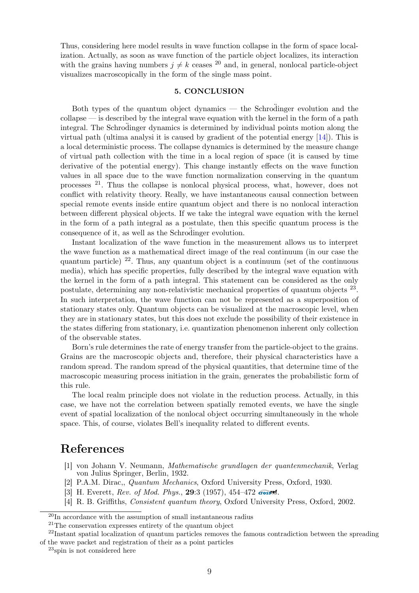Thus, considering here model results in wave function collapse in the form of space localization. Actually, as soon as wave function of the particle object localizes, its interaction with the grains having numbers  $j \neq k$  ceases <sup>[20](#page-8-4)</sup> and, in general, nonlocal particle-object visualizes macroscopically in the form of the single mass point.

### 5. CONCLUSION

Both types of the quantum object dynamics — the Schrodinger evolution and the collapse — is described by the integral wave equation with the kernel in the form of a path integral. The Schrodinger dynamics is determined by individual points motion along the virtual path (ultima analysi it is caused by gradient of the potential energy [\[14\]](#page-9-9)). This is a local deterministic process. The collapse dynamics is determined by the measure change of virtual path collection with the time in a local region of space (it is caused by time derivative of the potential energy). This change instantly effects on the wave function values in all space due to the wave function normalization conserving in the quantum processes [21](#page-8-5). Thus the collapse is nonlocal physical process, what, however, does not conflict with relativity theory. Really, we have instantaneous causal connection between special remote events inside entire quantum object and there is no nonlocal interaction between different physical objects. If we take the integral wave equation with the kernel in the form of a path integral as a postulate, then this specific quantum process is the consequence of it, as well as the Schrodinger evolution.

Instant localization of the wave function in the measurement allows us to interpret the wave function as a mathematical direct image of the real continuum (in our case the quantum particle)  $2^2$ . Thus, any quantum object is a continuum (set of the continuous media), which has specific properties, fully described by the integral wave equation with the kernel in the form of a path integral. This statement can be considered as the only postulate, determining any non-relativistic mechanical properties of quantum objects <sup>[23](#page-8-7)</sup>. In such interpretation, the wave function can not be represented as a superposition of stationary states only. Quantum objects can be visualized at the macroscopic level, when they are in stationary states, but this does not exclude the possibility of their existence in the states differing from stationary, i.e. quantization phenomenon inherent only collection of the observable states.

Born's rule determines the rate of energy transfer from the particle-object to the grains. Grains are the macroscopic objects and, therefore, their physical characteristics have a random spread. The random spread of the physical quantities, that determine time of the macroscopic measuring process initiation in the grain, generates the probabilistic form of this rule.

The local realm principle does not violate in the reduction process. Actually, in this case, we have not the correlation between spatially remoted events, we have the single event of spatial localization of the nonlocal object occurring simultaneously in the whole space. This, of course, violates Bell's inequality related to different events.

## References

- <span id="page-8-0"></span>[1] von Johann V. Neumann, Mathematische grundlagen der quantenmechanik, Verlag von Julius Springer, Berlin, 1932.
- <span id="page-8-1"></span>[2] P.A.M. Dirac,, Quantum Mechanics, Oxford University Press, Oxford, 1930.
- <span id="page-8-2"></span>[3] H. Everett, Rev. of Mod. Phys., 29:3 (1957), 454–472 **[crossref](http://dx.doi.org/10.1103/RevModPhys.29.454)**.
- [4] R. B. Griffiths, Consistent quantum theory, Oxford University Press, Oxford, 2002.

<span id="page-8-4"></span><span id="page-8-3"></span><sup>20</sup>In accordance with the assumption of small instantaneous radius

<span id="page-8-6"></span><span id="page-8-5"></span><sup>21</sup>The conservation expresses entirety of the quantum object

<sup>&</sup>lt;sup>22</sup>Instant spatial localization of quantum particles removes the famous contradiction between the spreading of the wave packet and registration of their as a point particles

<span id="page-8-7"></span><sup>23</sup>spin is not considered here